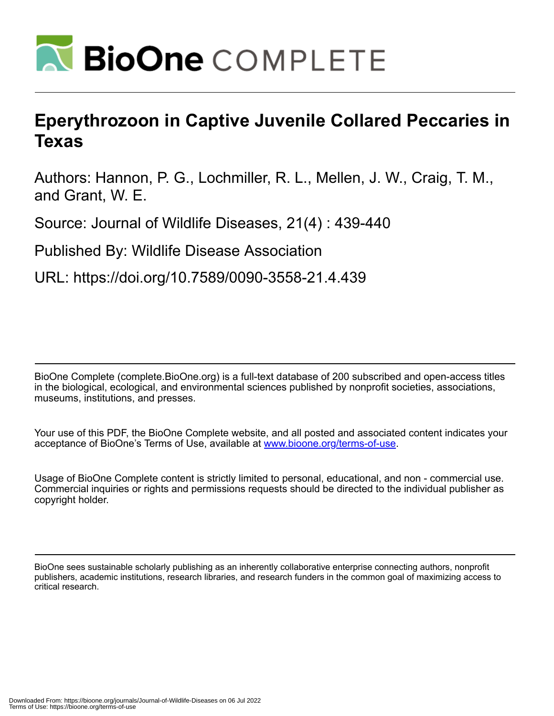

## **Eperythrozoon in Captive Juvenile Collared Peccaries in Texas**

Authors: Hannon, P. G., Lochmiller, R. L., Mellen, J. W., Craig, T. M., and Grant, W. E.

Source: Journal of Wildlife Diseases, 21(4) : 439-440

Published By: Wildlife Disease Association

URL: https://doi.org/10.7589/0090-3558-21.4.439

BioOne Complete (complete.BioOne.org) is a full-text database of 200 subscribed and open-access titles in the biological, ecological, and environmental sciences published by nonprofit societies, associations, museums, institutions, and presses.

Your use of this PDF, the BioOne Complete website, and all posted and associated content indicates your acceptance of BioOne's Terms of Use, available at www.bioone.org/terms-of-use.

Usage of BioOne Complete content is strictly limited to personal, educational, and non - commercial use. Commercial inquiries or rights and permissions requests should be directed to the individual publisher as copyright holder.

BioOne sees sustainable scholarly publishing as an inherently collaborative enterprise connecting authors, nonprofit publishers, academic institutions, research libraries, and research funders in the common goal of maximizing access to critical research.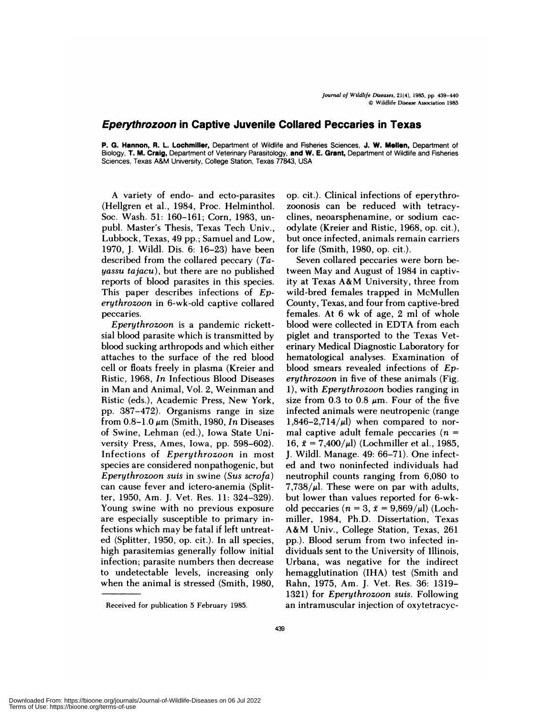## Eperythrozoon **in Captive Juvenile Collared Peccaries in Texas**

**P. G. Hannon, R. L. Lochmiller,** Department of Wildlife and Fisheries Sciences, **J. W. Mellen,** Department of Biology, **T. M. Craig,** Department of Veterinary Parasitology, **and W. E. Grant,** Department of Wildlife and Fisheries Sciences, Texas A&M University, College Station, Texas 77843, USA

A variety of endo- and ecto-parasites (Hellgren et al., 1984, Proc. Helminthol. Soc. Wash. 51: 160-161; Corn, 1983, un pub!. Master's Thesis, Texas Tech Univ., Lubbock, Texas, 49 pp.; Samuel and Low, 1970, J. Wild!. Dis. 6: 16-23) have been described from the collared peccary *(Tayassu tajacu),* but there are no published reports of blood parasites in this species. This paper describes infections of *Eperythrozoon* in 6-wk-o!d captive collared peccanies.

*Eperythrozoon* is a pandemic nickettsial blood parasite which is transmitted by blood sucking arthropods and which either attaches to the surface of the red blood cell or floats freely in plasma (Kreier and Ristic, 1968, *In* Infectious Blood Diseases in Man and Animal, Vol. 2, Weinman and Ristic (eds.), Academic Press, New York, pp. 387-472). Organisms range in size from  $0.8-1.0 \mu m$  (Smith, 1980, *In* Diseases of Swine, Lehman (ed), Iowa State University Press, Ames, Iowa, pp. 598-602). Infections of *Eperythrozoon* in most species are considered nonpathogenic, but *Eperythrozoon suis* in swine *(Sus scrofa)* can cause fever and ictero-anemia (Splitter, 1950, Am. J. Vet. Res. 11: 324-329). Young swine with no previous exposure are especially susceptible to primary infections which may be fatal if left untreated (Splitter, 1950, op. cit.). In all species, high parasitemias generally follow initial infection; parasite numbers then decrease to undetectable levels, increasing only when the animal is stressed (Smith, 1980, op. cit.). Clinical infections of eperythrozoonosis can be reduced with tetnacydines, neoarsphenamine, on sodium cac odylate (Kreier and Ristic, 1968, op. cit.), but once infected, animals remain carriers for life (Smith, 1980, op. cit.).

Seven collared peccanies were born between May and August of 1984 in captivity at Texas A&M University, three from wild-bred females trapped in McMullen County, Texas, and four from captive-bred females. At 6 wk of age, 2 ml of whole blood were collected in EDTA from each piglet and transported to the Texas Veterinary Medical Diagnostic Laboratory for hematologica! analyses. Examination of blood smears revealed infections of *Eperythrozoon* in five of these animals (Fig. 1), with *Eperythrozoon* bodies ranging in size from 0.3 to 0.8  $\mu$ m. Four of the five infected animals were neutropenic (range 1,846-2,714/ $\mu$ l) when compared to normal captive adult female peccaries  $(n =$ 16,  $\bar{x} = 7,400/\mu l$ ) (Lochmiller et al., 1985, J. Wild!. Manage. 49: 66-71). One infected and two noninfected individuals had neutrophil counts ranging from 6,080 to 7,738/ $\mu$ l. These were on par with adults, but lower than values reported for 6-wkold peccaries  $(n = 3, \bar{x} = 9,869/\mu l)$  (Lochmiller, 1984, Ph.D. Dissertation, Texas A&M Univ., College Station, Texas, 261 pp.). Blood serum from two infected individuals sent to the University of Illinois, Urbana, was negative for the indirect hemagglutination (IHA) test (Smith and Rahn, 1975, Am. J. Vet. Res. 36: 1319- 1321) for *Eperythrozoon suis.* Following an intramuscular injection of oxytetracyc-

Received for publication 5 February 1985.